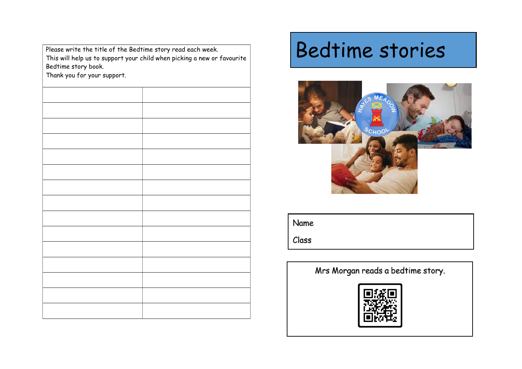Please write the title of the Bedtime story read each week. This will help us to suppor<sup>t</sup> your child when <sup>p</sup>icking <sup>a</sup> new or favouriteBedtime story book.

Thank you for your support.

## Bedtime stories



Name

Class